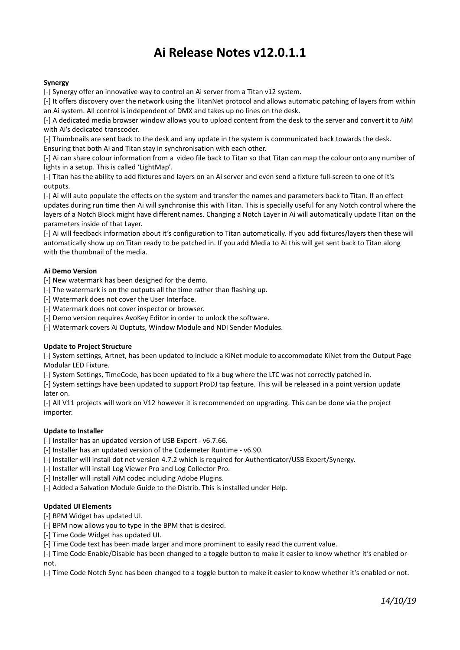# **Ai Release Notes v12.0.1.1**

## **Synergy**

[-] Synergy offer an innovative way to control an Ai server from a Titan v12 system.

[-] It offers discovery over the network using the TitanNet protocol and allows automatic patching of layers from within an Ai system. All control is independent of DMX and takes up no lines on the desk.

[-] A dedicated media browser window allows you to upload content from the desk to the server and convert it to AiM with Ai's dedicated transcoder.

[-] Thumbnails are sent back to the desk and any update in the system is communicated back towards the desk. Ensuring that both Ai and Titan stay in synchronisation with each other.

[-] Ai can share colour information from a video file back to Titan so that Titan can map the colour onto any number of lights in a setup. This is called 'LightMap'.

[-] Titan has the ability to add fixtures and layers on an Ai server and even send a fixture full-screen to one of it's outputs.

[-] Ai will auto populate the effects on the system and transfer the names and parameters back to Titan. If an effect updates during run time then Ai will synchronise this with Titan. This is specially useful for any Notch control where the layers of a Notch Block might have different names. Changing a Notch Layer in Ai will automatically update Titan on the parameters inside of that Layer.

[-] Ai will feedback information about it's configuration to Titan automatically. If you add fixtures/layers then these will automatically show up on Titan ready to be patched in. If you add Media to Ai this will get sent back to Titan along with the thumbnail of the media.

## **Ai Demo Version**

[-] New watermark has been designed for the demo.

- [-] The watermark is on the outputs all the time rather than flashing up.
- [-] Watermark does not cover the User Interface.
- [-] Watermark does not cover inspector or browser.
- [-] Demo version requires AvoKey Editor in order to unlock the software.
- [-] Watermark covers Ai Ouptuts, Window Module and NDI Sender Modules.

### **Update to Project Structure**

[-] System settings, Artnet, has been updated to include a KiNet module to accommodate KiNet from the Output Page Modular LED Fixture.

[-] System Settings, TimeCode, has been updated to fix a bug where the LTC was not correctly patched in.

[-] System settings have been updated to support ProDJ tap feature. This will be released in a point version update later on.

[-] All V11 projects will work on V12 however it is recommended on upgrading. This can be done via the project importer.

### **Update to Installer**

[-] Installer has an updated version of USB Expert - v6.7.66.

- [-] Installer has an updated version of the Codemeter Runtime v6.90.
- [-] Installer will install dot net version 4.7.2 which is required for Authenticator/USB Expert/Synergy.
- [-] Installer will install Log Viewer Pro and Log Collector Pro.[-] Installer will install AiM codec including Adobe Plugins.
- 
- [-] Added a Salvation Module Guide to the Distrib. This is installed under Help.

### **Updated UI Elements**

[-] BPM Widget has updated UI.

[-] BPM now allows you to type in the BPM that is desired.

- [-] Time Code Widget has updated UI.
- [-] Time Code text has been made larger and more prominent to easily read the current value.

[-] Time Code Enable/Disable has been changed to a toggle button to make it easier to know whether it's enabled or not.

[-] Time Code Notch Sync has been changed to a toggle button to make it easier to know whether it's enabled or not.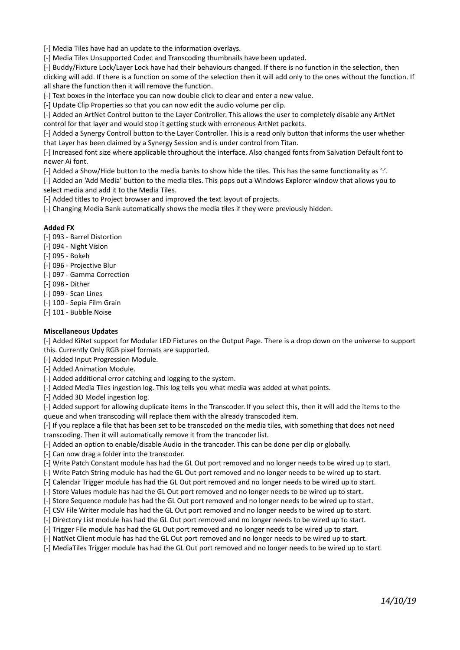[-] Media Tiles have had an update to the information overlays.

[-] Media Tiles Unsupported Codec and Transcoding thumbnails have been updated.

[-] Buddy/Fixture Lock/Layer Lock have had their behaviours changed. If there is no function in the selection, then clicking will add. If there is a function on some of the selection then it will add only to the ones without the function. If all share the function then it will remove the function.

[-] Text boxes in the interface you can now double click to clear and enter a new value.

[-] Update Clip Properties so that you can now edit the audio volume per clip.

[-] Added an ArtNet Control button to the Layer Controller. This allows the user to completely disable any ArtNet control for that layer and would stop it getting stuck with erroneous ArtNet packets.

[-] Added a Synergy Controll button to the Layer Controller. This is a read only button that informs the user whether that Layer has been claimed by a Synergy Session and is under control from Titan.

[-] Increased font size where applicable throughout the interface. Also changed fonts from Salvation Default font to newer Ai font.

[-] Added a Show/Hide button to the media banks to show hide the tiles. This has the same functionality as':'.

[-] Added an 'Add Media' button to the media tiles. This pops out a Windows Explorer window that allows you to select media and add it to the Media Tiles.

[-] Added titles to Project browser and improved the text layout of projects.

[-] Changing Media Bank automatically shows the media tiles if they were previously hidden.

#### **Added FX**

[-] 093 - Barrel Distortion

- [-] 094 Night Vision
- [-] 095 Bokeh
- [-] 096 Projective Blur
- [-] 097 Gamma Correction
- [-] 098 Dither
- [-] 099 Scan Lines
- [-] 100 Sepia Film Grain
- [-] 101 Bubble Noise

### **Miscellaneous Updates**

[-] Added KiNet support for Modular LED Fixtures on the Output Page. There is a drop down on the universe to support this. Currently Only RGB pixel formats are supported.[-] Added Input Progression Module.

[-] Added Animation Module.

[-] Added additional error catching and logging to the system.

[-] Added Media Tiles ingestion log. This log tells you what media was added at what points.

[-] Added 3D Model ingestion log.

[-] Added support for allowing duplicate items in the Transcoder. If you select this, then it will add the items to the queue and when transcoding will replace them with the already transcoded item.

[-] If you replace a file that has been set to be transcoded on the media tiles, with something that does not need transcoding. Then it will automatically remove it from the trancoder list.

[-] Added an option to enable/disable Audio in the trancoder. This can be done per clip or globally.

[-] Can now drag a folder into the transcoder.

[-] Write Patch Constant module has had the GL Out port removed and no longer needs to be wired up to start.

[-] Write Patch String module has had the GL Out port removed and no longer needs to be wired up to start.

[-] Calendar Trigger module has had the GL Out port removed and no longer needs to be wired up to start.

[-] Store Values module has had the GL Out port removed and no longer needs to be wired up to start.

[-] Store Sequence module has had the GL Out port removed and no longer needs to be wired up to start.

[-] CSV File Writer module has had the GL Out port removed and no longer needs to be wired up to start.

[-] Directory List module has had the GL Out port removed and no longer needs to be wired up to start.

[-] Trigger File module has had the GL Out port removed and no longer needs to be wired up to start.

[-] NatNet Client module has had the GL Out port removed and no longer needs to be wired up to start.

[-] MediaTiles Trigger module has had the GL Out port removed and no longer needs to be wired up to start.